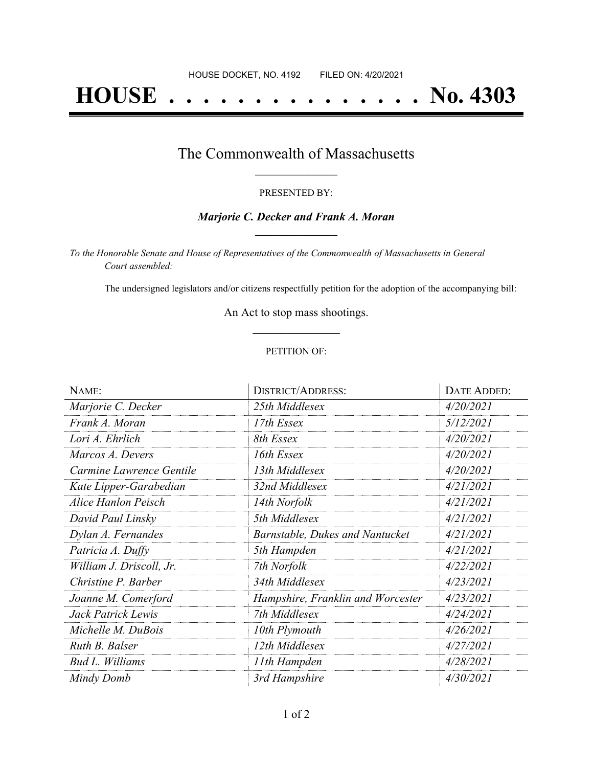# **HOUSE . . . . . . . . . . . . . . . No. 4303**

### The Commonwealth of Massachusetts **\_\_\_\_\_\_\_\_\_\_\_\_\_\_\_\_\_**

#### PRESENTED BY:

#### *Marjorie C. Decker and Frank A. Moran* **\_\_\_\_\_\_\_\_\_\_\_\_\_\_\_\_\_**

*To the Honorable Senate and House of Representatives of the Commonwealth of Massachusetts in General Court assembled:*

The undersigned legislators and/or citizens respectfully petition for the adoption of the accompanying bill:

An Act to stop mass shootings. **\_\_\_\_\_\_\_\_\_\_\_\_\_\_\_**

#### PETITION OF:

| NAME:                    | <b>DISTRICT/ADDRESS:</b>          | DATE ADDED: |
|--------------------------|-----------------------------------|-------------|
| Marjorie C. Decker       | 25th Middlesex                    | 4/20/2021   |
| Frank A. Moran           | 17th Essex                        | 5/12/2021   |
| Lori A. Ehrlich          | 8th Essex                         | 4/20/2021   |
| Marcos A. Devers         | 16th Essex                        | 4/20/2021   |
| Carmine Lawrence Gentile | 13th Middlesex                    | 4/20/2021   |
| Kate Lipper-Garabedian   | 32nd Middlesex                    | 4/21/2021   |
| Alice Hanlon Peisch      | 14th Norfolk                      | 4/21/2021   |
| David Paul Linsky        | 5th Middlesex                     | 4/21/2021   |
| Dylan A. Fernandes       | Barnstable, Dukes and Nantucket   | 4/21/2021   |
| Patricia A. Duffy        | 5th Hampden                       | 4/21/2021   |
| William J. Driscoll, Jr. | 7th Norfolk                       | 4/22/2021   |
| Christine P. Barber      | 34th Middlesex                    | 4/23/2021   |
| Joanne M. Comerford      | Hampshire, Franklin and Worcester | 4/23/2021   |
| Jack Patrick Lewis       | 7th Middlesex                     | 4/24/2021   |
| Michelle M. DuBois       | 10th Plymouth                     | 4/26/2021   |
| Ruth B. Balser           | 12th Middlesex                    | 4/27/2021   |
| Bud L. Williams          | 11th Hampden                      | 4/28/2021   |
| Mindy Domb               | 3rd Hampshire                     | 4/30/2021   |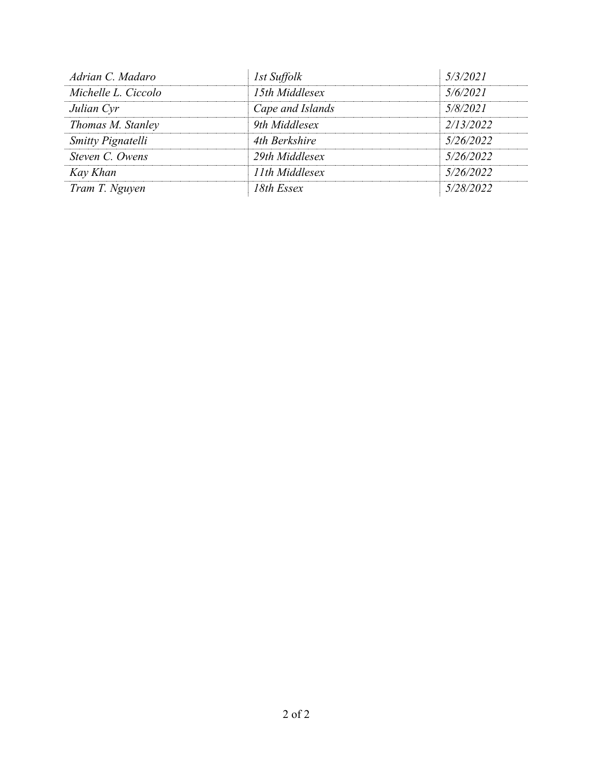| Adrian C. Madaro    | 1st Suffolk      | 5/3/2021  |
|---------------------|------------------|-----------|
| Michelle L. Ciccolo | 15th Middlesex   | 5/6/2021  |
| Julian Cyr          | Cape and Islands | 5/8/2021  |
| Thomas M. Stanley   | 9th Middlesex    | 2/13/2022 |
| Smitty Pignatelli   | 4th Berkshire    | 5/26/2022 |
| Steven C. Owens     | 29th Middlesex   | 5/26/2022 |
| Kay Khan            | 11th Middlesex   | 5/26/2022 |
| Tram T. Nguyen      | 18th Essex       | 5/28/2022 |